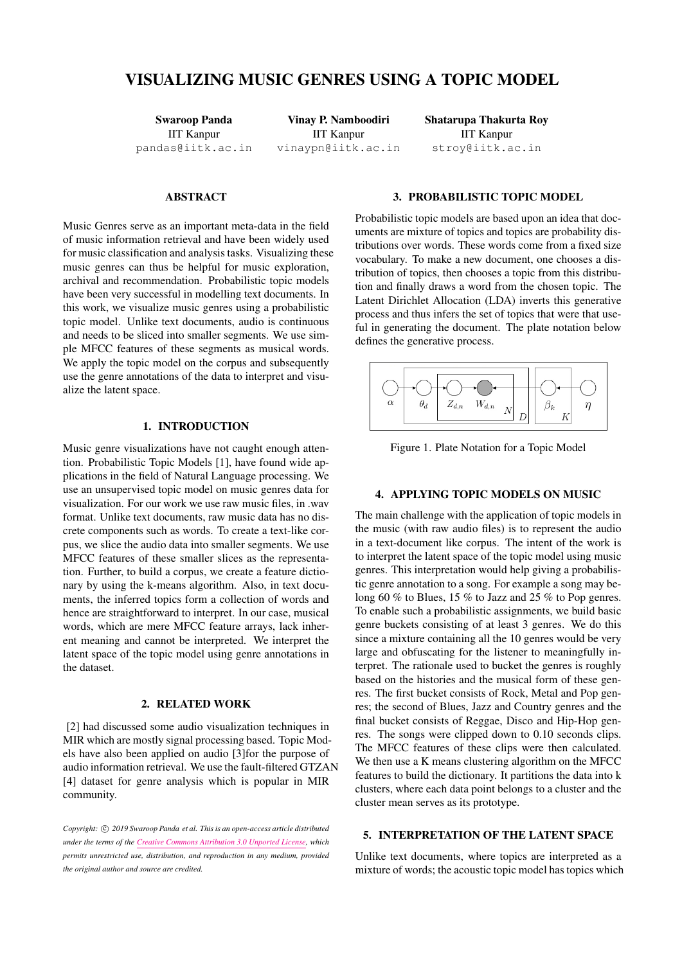# VISUALIZING MUSIC GENRES USING A TOPIC MODEL

Swaroop Panda IIT Kanpur [pandas@iitk.ac.in](mailto:pandas@iitk.ac.in)

Vinay P. Namboodiri IIT Kanpur [vinaypn@iitk.ac.in](mailto:vinaypn@iitk.ac.in) Shatarupa Thakurta Roy IIT Kanpur [stroy@iitk.ac.in](mailto:stroy@iitk.ac.in)

## **ABSTRACT**

Music Genres serve as an important meta-data in the field of music information retrieval and have been widely used for music classification and analysis tasks. Visualizing these music genres can thus be helpful for music exploration, archival and recommendation. Probabilistic topic models have been very successful in modelling text documents. In this work, we visualize music genres using a probabilistic topic model. Unlike text documents, audio is continuous and needs to be sliced into smaller segments. We use simple MFCC features of these segments as musical words. We apply the topic model on the corpus and subsequently use the genre annotations of the data to interpret and visualize the latent space.

## 1. INTRODUCTION

Music genre visualizations have not caught enough attention. Probabilistic Topic Models [\[1\]](#page-1-0), have found wide applications in the field of Natural Language processing. We use an unsupervised topic model on music genres data for visualization. For our work we use raw music files, in .wav format. Unlike text documents, raw music data has no discrete components such as words. To create a text-like corpus, we slice the audio data into smaller segments. We use MFCC features of these smaller slices as the representation. Further, to build a corpus, we create a feature dictionary by using the k-means algorithm. Also, in text documents, the inferred topics form a collection of words and hence are straightforward to interpret. In our case, musical words, which are mere MFCC feature arrays, lack inherent meaning and cannot be interpreted. We interpret the latent space of the topic model using genre annotations in the dataset.

#### 2. RELATED WORK

[\[2\]](#page-1-1) had discussed some audio visualization techniques in MIR which are mostly signal processing based. Topic Models have also been applied on audio [\[3\]](#page-1-2)for the purpose of audio information retrieval. We use the fault-filtered GTZAN [\[4\]](#page-1-3) dataset for genre analysis which is popular in MIR community.

## Copyright:  $\odot$  2019 Swaroop Panda et al. This is an open-access article distributed *under the terms of the [Creative Commons Attribution 3.0 Unported License,](http://creativecommons.org/licenses/by/3.0/) which permits unrestricted use, distribution, and reproduction in any medium, provided the original author and source are credited.*

# 3. PROBABILISTIC TOPIC MODEL

Probabilistic topic models are based upon an idea that documents are mixture of topics and topics are probability distributions over words. These words come from a fixed size vocabulary. To make a new document, one chooses a distribution of topics, then chooses a topic from this distribution and finally draws a word from the chosen topic. The Latent Dirichlet Allocation (LDA) inverts this generative process and thus infers the set of topics that were that useful in generating the document. The plate notation below defines the generative process.



Figure 1. Plate Notation for a Topic Model

#### 4. APPLYING TOPIC MODELS ON MUSIC

The main challenge with the application of topic models in the music (with raw audio files) is to represent the audio in a text-document like corpus. The intent of the work is to interpret the latent space of the topic model using music genres. This interpretation would help giving a probabilistic genre annotation to a song. For example a song may belong 60 % to Blues, 15 % to Jazz and 25 % to Pop genres. To enable such a probabilistic assignments, we build basic genre buckets consisting of at least 3 genres. We do this since a mixture containing all the 10 genres would be very large and obfuscating for the listener to meaningfully interpret. The rationale used to bucket the genres is roughly based on the histories and the musical form of these genres. The first bucket consists of Rock, Metal and Pop genres; the second of Blues, Jazz and Country genres and the final bucket consists of Reggae, Disco and Hip-Hop genres. The songs were clipped down to 0.10 seconds clips. The MFCC features of these clips were then calculated. We then use a K means clustering algorithm on the MFCC features to build the dictionary. It partitions the data into k clusters, where each data point belongs to a cluster and the cluster mean serves as its prototype.

### 5. INTERPRETATION OF THE LATENT SPACE

Unlike text documents, where topics are interpreted as a mixture of words; the acoustic topic model has topics which